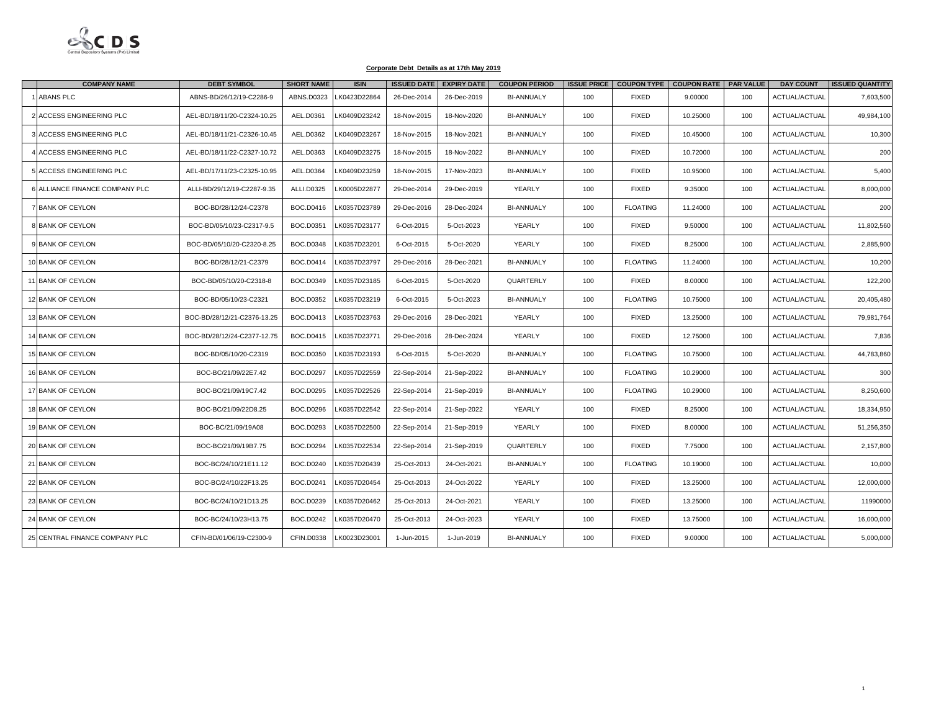

| <b>COMPANY NAME</b>            | <b>DEBT SYMBOL</b>          | <b>SHORT NAME</b> | <b>ISIN</b>  |             | <b>ISSUED DATE EXPIRY DATE</b> | <b>COUPON PERIOD</b> | <b>ISSUE PRICE</b> |                 | COUPON TYPE   COUPON RATE   PAR VALUE |     | <b>DAY COUNT</b>     | <b>ISSUED QUANTITY</b> |
|--------------------------------|-----------------------------|-------------------|--------------|-------------|--------------------------------|----------------------|--------------------|-----------------|---------------------------------------|-----|----------------------|------------------------|
| ABANS PLC                      | ABNS-BD/26/12/19-C2286-9    | ABNS.D0323        | LK0423D22864 | 26-Dec-2014 | 26-Dec-2019                    | <b>BI-ANNUALY</b>    | 100                | <b>FIXED</b>    | 9.00000                               | 100 | ACTUAL/ACTUAL        | 7,603,500              |
| ACCESS ENGINEERING PLC         | AEL-BD/18/11/20-C2324-10.25 | AEL.D0361         | LK0409D23242 | 18-Nov-2015 | 18-Nov-2020                    | <b>BI-ANNUALY</b>    | 100                | <b>FIXED</b>    | 10.25000                              | 100 | ACTUAL/ACTUAL        | 49,984,100             |
| ACCESS ENGINEERING PLC         | AEL-BD/18/11/21-C2326-10.45 | AEL.D0362         | LK0409D23267 | 18-Nov-2015 | 18-Nov-2021                    | <b>BI-ANNUALY</b>    | 100                | <b>FIXED</b>    | 10.45000                              | 100 | ACTUAL/ACTUAL        | 10,300                 |
| ACCESS ENGINEERING PLC         | AEL-BD/18/11/22-C2327-10.72 | AEL.D0363         | LK0409D23275 | 18-Nov-2015 | 18-Nov-2022                    | <b>BI-ANNUALY</b>    | 100                | <b>FIXED</b>    | 10.72000                              | 100 | ACTUAL/ACTUAL        | 200                    |
| ACCESS ENGINEERING PLC         | AEL-BD/17/11/23-C2325-10.95 | AEL.D0364         | LK0409D23259 | 18-Nov-2015 | 17-Nov-2023                    | <b>BI-ANNUALY</b>    | 100                | <b>FIXED</b>    | 10.95000                              | 100 | ACTUAL/ACTUAL        | 5,400                  |
| ALLIANCE FINANCE COMPANY PLC   | ALLI-BD/29/12/19-C2287-9.35 | ALLI.D0325        | LK0005D22877 | 29-Dec-2014 | 29-Dec-2019                    | YEARLY               | 100                | <b>FIXED</b>    | 9.35000                               | 100 | ACTUAL/ACTUAL        | 8,000,000              |
| <b>BANK OF CEYLON</b>          | BOC-BD/28/12/24-C2378       | BOC.D0416         | LK0357D23789 | 29-Dec-2016 | 28-Dec-2024                    | <b>BI-ANNUALY</b>    | 100                | <b>FLOATING</b> | 11.24000                              | 100 | ACTUAL/ACTUAL        | 200                    |
| <b>BANK OF CEYLON</b>          | BOC-BD/05/10/23-C2317-9.5   | BOC.D0351         | LK0357D23177 | 6-Oct-2015  | 5-Oct-2023                     | YEARLY               | 100                | <b>FIXED</b>    | 9.50000                               | 100 | ACTUAL/ACTUAL        | 11,802,560             |
| <b>BANK OF CEYLON</b>          | BOC-BD/05/10/20-C2320-8.25  | BOC.D0348         | LK0357D23201 | 6-Oct-2015  | 5-Oct-2020                     | YEARLY               | 100                | <b>FIXED</b>    | 8.25000                               | 100 | ACTUAL/ACTUAL        | 2,885,900              |
| 10 BANK OF CEYLON              | BOC-BD/28/12/21-C2379       | BOC.D0414         | LK0357D23797 | 29-Dec-2016 | 28-Dec-2021                    | <b>BI-ANNUALY</b>    | 100                | <b>FLOATING</b> | 11.24000                              | 100 | ACTUAL/ACTUAL        | 10,200                 |
| 11 BANK OF CEYLON              | BOC-BD/05/10/20-C2318-8     | BOC.D0349         | LK0357D23185 | 6-Oct-2015  | 5-Oct-2020                     | QUARTERLY            | 100                | <b>FIXED</b>    | 8.00000                               | 100 | ACTUAL/ACTUAL        | 122,200                |
| 12 BANK OF CEYLON              | BOC-BD/05/10/23-C2321       | BOC.D0352         | LK0357D23219 | 6-Oct-2015  | 5-Oct-2023                     | <b>BI-ANNUALY</b>    | 100                | <b>FLOATING</b> | 10.75000                              | 100 | ACTUAL/ACTUAL        | 20,405,480             |
| <b>BANK OF CEYLON</b>          | BOC-BD/28/12/21-C2376-13.25 | BOC.D0413         | LK0357D23763 | 29-Dec-2016 | 28-Dec-2021                    | YEARLY               | 100                | <b>FIXED</b>    | 13.25000                              | 100 | ACTUAL/ACTUAL        | 79,981,764             |
| <b>BANK OF CEYLON</b>          | BOC-BD/28/12/24-C2377-12.75 | <b>BOC.D0415</b>  | LK0357D23771 | 29-Dec-2016 | 28-Dec-2024                    | YEARLY               | 100                | <b>FIXED</b>    | 12.75000                              | 100 | ACTUAL/ACTUAL        | 7,836                  |
| 15 BANK OF CEYLON              | BOC-BD/05/10/20-C2319       | BOC.D0350         | LK0357D23193 | 6-Oct-2015  | 5-Oct-2020                     | <b>BI-ANNUALY</b>    | 100                | <b>FLOATING</b> | 10.75000                              | 100 | ACTUAL/ACTUAL        | 44,783,860             |
| <b>16 BANK OF CEYLON</b>       | BOC-BC/21/09/22E7.42        | <b>BOC.D0297</b>  | K0357D22559  | 22-Sep-2014 | 21-Sep-2022                    | <b>BI-ANNUALY</b>    | 100                | <b>FLOATING</b> | 10.29000                              | 100 | <b>ACTUAL/ACTUAL</b> | 300                    |
| 17 BANK OF CEYLON              | BOC-BC/21/09/19C7.42        | BOC.D0295         | LK0357D22526 | 22-Sep-2014 | 21-Sep-2019                    | <b>BI-ANNUALY</b>    | 100                | <b>FLOATING</b> | 10.29000                              | 100 | ACTUAL/ACTUAL        | 8,250,600              |
| 18 BANK OF CEYLON              | BOC-BC/21/09/22D8.25        | BOC.D0296         | LK0357D22542 | 22-Sep-2014 | 21-Sep-2022                    | YEARLY               | 100                | <b>FIXED</b>    | 8.25000                               | 100 | ACTUAL/ACTUAL        | 18,334,950             |
| 19 BANK OF CEYLON              | BOC-BC/21/09/19A08          | BOC.D0293         | LK0357D22500 | 22-Sep-2014 | 21-Sep-2019                    | <b>YEARLY</b>        | 100                | <b>FIXED</b>    | 8.00000                               | 100 | <b>ACTUAL/ACTUAL</b> | 51,256,350             |
| 20 BANK OF CEYLON              | BOC-BC/21/09/19B7.75        | BOC.D0294         | LK0357D22534 | 22-Sep-2014 | 21-Sep-2019                    | QUARTERLY            | 100                | <b>FIXED</b>    | 7.75000                               | 100 | ACTUAL/ACTUAL        | 2,157,800              |
| 21 BANK OF CEYLON              | BOC-BC/24/10/21E11.12       | BOC.D0240         | LK0357D20439 | 25-Oct-2013 | 24-Oct-2021                    | <b>BI-ANNUALY</b>    | 100                | <b>FLOATING</b> | 10.19000                              | 100 | ACTUAL/ACTUAL        | 10,000                 |
| 22 BANK OF CEYLON              | BOC-BC/24/10/22F13.25       | BOC.D0241         | LK0357D20454 | 25-Oct-2013 | 24-Oct-2022                    | YEARLY               | 100                | <b>FIXED</b>    | 13.25000                              | 100 | ACTUAL/ACTUAL        | 12,000,000             |
| 23 BANK OF CEYLON              | BOC-BC/24/10/21D13.25       | BOC.D0239         | LK0357D20462 | 25-Oct-2013 | 24-Oct-2021                    | YEARLY               | 100                | <b>FIXED</b>    | 13.25000                              | 100 | ACTUAL/ACTUAL        | 11990000               |
| 24 BANK OF CEYLON              | BOC-BC/24/10/23H13.75       | BOC.D0242         | LK0357D20470 | 25-Oct-2013 | 24-Oct-2023                    | YEARLY               | 100                | <b>FIXED</b>    | 13.75000                              | 100 | ACTUAL/ACTUAL        | 16,000,000             |
| 25 CENTRAL FINANCE COMPANY PLC | CFIN-BD/01/06/19-C2300-9    | CFIN.D0338        | LK0023D23001 | 1-Jun-2015  | 1-Jun-2019                     | <b>BI-ANNUALY</b>    | 100                | <b>FIXED</b>    | 9.00000                               | 100 | ACTUAL/ACTUAL        | 5,000,000              |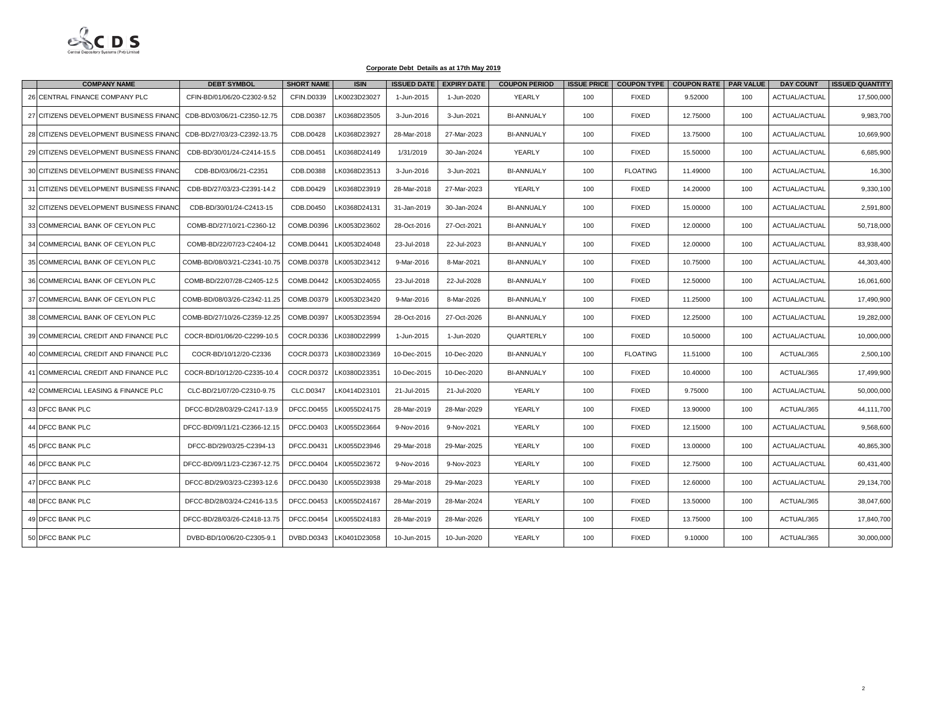

|    | <b>COMPANY NAME</b>                     | <b>DEBT SYMBOL</b>           | <b>SHORT NAME</b> | <b>ISIN</b>  | <b>ISSUED DATE</b> | <b>EXPIRY DATE</b> | <b>COUPON PERIOD</b> |     | ISSUE PRICE   COUPON TYPE   COUPON RATE   PAR VALUE |          |     | <b>DAY COUNT</b> | <b>ISSUED QUANTITY</b> |
|----|-----------------------------------------|------------------------------|-------------------|--------------|--------------------|--------------------|----------------------|-----|-----------------------------------------------------|----------|-----|------------------|------------------------|
| 26 | CENTRAL FINANCE COMPANY PLC             | CFIN-BD/01/06/20-C2302-9.52  | CFIN.D0339        | LK0023D23027 | 1-Jun-2015         | 1-Jun-2020         | YEARLY               | 100 | <b>FIXED</b>                                        | 9.52000  | 100 | ACTUAL/ACTUAL    | 17,500,000             |
|    | 27 CITIZENS DEVELOPMENT BUSINESS FINANC | CDB-BD/03/06/21-C2350-12.75  | CDB.D0387         | LK0368D23505 | 3-Jun-2016         | 3-Jun-2021         | <b>BI-ANNUALY</b>    | 100 | <b>FIXED</b>                                        | 12.75000 | 100 | ACTUAL/ACTUAL    | 9,983,700              |
|    | 28 CITIZENS DEVELOPMENT BUSINESS FINANC | CDB-BD/27/03/23-C2392-13.75  | CDB.D0428         | LK0368D23927 | 28-Mar-2018        | 27-Mar-2023        | <b>BI-ANNUALY</b>    | 100 | <b>FIXED</b>                                        | 13.75000 | 100 | ACTUAL/ACTUAL    | 10,669,900             |
|    | 29 CITIZENS DEVELOPMENT BUSINESS FINANC | CDB-BD/30/01/24-C2414-15.5   | CDB.D0451         | LK0368D24149 | 1/31/2019          | 30-Jan-2024        | YEARLY               | 100 | <b>FIXED</b>                                        | 15.50000 | 100 | ACTUAL/ACTUAL    | 6,685,900              |
|    | 30 CITIZENS DEVELOPMENT BUSINESS FINANC | CDB-BD/03/06/21-C2351        | CDB.D0388         | LK0368D23513 | 3-Jun-2016         | 3-Jun-2021         | <b>BI-ANNUALY</b>    | 100 | <b>FLOATING</b>                                     | 11.49000 | 100 | ACTUAL/ACTUAL    | 16,300                 |
|    | 31 CITIZENS DEVELOPMENT BUSINESS FINANC | CDB-BD/27/03/23-C2391-14.2   | CDB.D0429         | LK0368D23919 | 28-Mar-2018        | 27-Mar-2023        | YEARLY               | 100 | <b>FIXED</b>                                        | 14.20000 | 100 | ACTUAL/ACTUAL    | 9,330,100              |
|    | 32 CITIZENS DEVELOPMENT BUSINESS FINANC | CDB-BD/30/01/24-C2413-15     | CDB.D0450         | LK0368D24131 | 31-Jan-2019        | 30-Jan-2024        | <b>BI-ANNUALY</b>    | 100 | <b>FIXED</b>                                        | 15.00000 | 100 | ACTUAL/ACTUAL    | 2,591,800              |
|    | 33 COMMERCIAL BANK OF CEYLON PLC        | COMB-BD/27/10/21-C2360-12    | COMB.D0396        | LK0053D23602 | 28-Oct-2016        | 27-Oct-2021        | <b>BI-ANNUALY</b>    | 100 | <b>FIXED</b>                                        | 12.00000 | 100 | ACTUAL/ACTUAL    | 50,718,000             |
|    | 34 COMMERCIAL BANK OF CEYLON PLC        | COMB-BD/22/07/23-C2404-12    | COMB.D0441        | LK0053D24048 | 23-Jul-2018        | 22-Jul-2023        | <b>BI-ANNUALY</b>    | 100 | <b>FIXED</b>                                        | 12.00000 | 100 | ACTUAL/ACTUAL    | 83,938,400             |
|    | 35 COMMERCIAL BANK OF CEYLON PLC        | COMB-BD/08/03/21-C2341-10.75 | COMB.D0378        | LK0053D23412 | 9-Mar-2016         | 8-Mar-2021         | <b>BI-ANNUALY</b>    | 100 | <b>FIXED</b>                                        | 10.75000 | 100 | ACTUAL/ACTUAL    | 44,303,400             |
|    | 36 COMMERCIAL BANK OF CEYLON PLC        | COMB-BD/22/07/28-C2405-12.5  | COMB.D0442        | LK0053D24055 | 23-Jul-2018        | 22-Jul-2028        | <b>BI-ANNUALY</b>    | 100 | <b>FIXED</b>                                        | 12.50000 | 100 | ACTUAL/ACTUAL    | 16,061,600             |
|    | 37 COMMERCIAL BANK OF CEYLON PLC        | COMB-BD/08/03/26-C2342-11.25 | COMB.D0379        | LK0053D23420 | 9-Mar-2016         | 8-Mar-2026         | <b>BI-ANNUALY</b>    | 100 | <b>FIXED</b>                                        | 11.25000 | 100 | ACTUAL/ACTUAL    | 17,490,900             |
|    | 38 COMMERCIAL BANK OF CEYLON PLC        | COMB-BD/27/10/26-C2359-12.25 | <b>COMB.D0397</b> | LK0053D23594 | 28-Oct-2016        | 27-Oct-2026        | <b>BI-ANNUALY</b>    | 100 | <b>FIXED</b>                                        | 12.25000 | 100 | ACTUAL/ACTUAL    | 19,282,000             |
|    | 39 COMMERCIAL CREDIT AND FINANCE PLC    | COCR-BD/01/06/20-C2299-10.5  | COCR.D0336        | LK0380D22999 | 1-Jun-2015         | 1-Jun-2020         | QUARTERLY            | 100 | <b>FIXED</b>                                        | 10.50000 | 100 | ACTUAL/ACTUAL    | 10,000,000             |
|    | 40 COMMERCIAL CREDIT AND FINANCE PLC    | COCR-BD/10/12/20-C2336       | COCR.D0373        | LK0380D23369 | 10-Dec-2015        | 10-Dec-2020        | <b>BI-ANNUALY</b>    | 100 | <b>FLOATING</b>                                     | 11.51000 | 100 | ACTUAL/365       | 2,500,100              |
|    | 41 COMMERCIAL CREDIT AND FINANCE PLC    | COCR-BD/10/12/20-C2335-10.4  | COCR.D0372        | LK0380D23351 | 10-Dec-2015        | 10-Dec-2020        | <b>BI-ANNUALY</b>    | 100 | <b>FIXED</b>                                        | 10.40000 | 100 | ACTUAL/365       | 17,499,900             |
|    | 42 COMMERCIAL LEASING & FINANCE PLC     | CLC-BD/21/07/20-C2310-9.75   | CLC.D0347         | LK0414D23101 | 21-Jul-2015        | 21-Jul-2020        | YEARLY               | 100 | <b>FIXED</b>                                        | 9.75000  | 100 | ACTUAL/ACTUAL    | 50,000,000             |
|    | 43 DFCC BANK PLC                        | DFCC-BD/28/03/29-C2417-13.9  | <b>DFCC.D0455</b> | LK0055D24175 | 28-Mar-2019        | 28-Mar-2029        | YEARLY               | 100 | <b>FIXED</b>                                        | 13.90000 | 100 | ACTUAL/365       | 44,111,700             |
|    | 44 DFCC BANK PLC                        | DFCC-BD/09/11/21-C2366-12.15 | DFCC.D0403        | LK0055D23664 | 9-Nov-2016         | 9-Nov-2021         | YEARLY               | 100 | <b>FIXED</b>                                        | 12.15000 | 100 | ACTUAL/ACTUAL    | 9,568,600              |
|    | 45 DFCC BANK PLC                        | DFCC-BD/29/03/25-C2394-13    | <b>DFCC.D0431</b> | LK0055D23946 | 29-Mar-2018        | 29-Mar-2025        | YEARLY               | 100 | <b>FIXED</b>                                        | 13.00000 | 100 | ACTUAL/ACTUAL    | 40,865,300             |
|    | 46 DFCC BANK PLC                        | DFCC-BD/09/11/23-C2367-12.75 | <b>DFCC.D0404</b> | LK0055D23672 | 9-Nov-2016         | 9-Nov-2023         | YEARLY               | 100 | <b>FIXED</b>                                        | 12.75000 | 100 | ACTUAL/ACTUAL    | 60,431,400             |
|    | 47 DFCC BANK PLC                        | DFCC-BD/29/03/23-C2393-12.6  | DFCC.D0430        | LK0055D23938 | 29-Mar-2018        | 29-Mar-2023        | YEARLY               | 100 | <b>FIXED</b>                                        | 12,60000 | 100 | ACTUAL/ACTUAL    | 29,134,700             |
|    | 48 DFCC BANK PLC                        | DFCC-BD/28/03/24-C2416-13.5  | <b>DFCC.D0453</b> | LK0055D24167 | 28-Mar-2019        | 28-Mar-2024        | YEARLY               | 100 | <b>FIXED</b>                                        | 13.50000 | 100 | ACTUAL/365       | 38,047,600             |
|    | 49 DFCC BANK PLC                        | DFCC-BD/28/03/26-C2418-13.75 | <b>DFCC.D0454</b> | LK0055D24183 | 28-Mar-2019        | 28-Mar-2026        | YEARLY               | 100 | <b>FIXED</b>                                        | 13.75000 | 100 | ACTUAL/365       | 17,840,700             |
|    | 50 DFCC BANK PLC                        | DVBD-BD/10/06/20-C2305-9.1   | DVBD.D0343        | LK0401D23058 | 10-Jun-2015        | 10-Jun-2020        | YEARLY               | 100 | <b>FIXED</b>                                        | 9.10000  | 100 | ACTUAL/365       | 30,000,000             |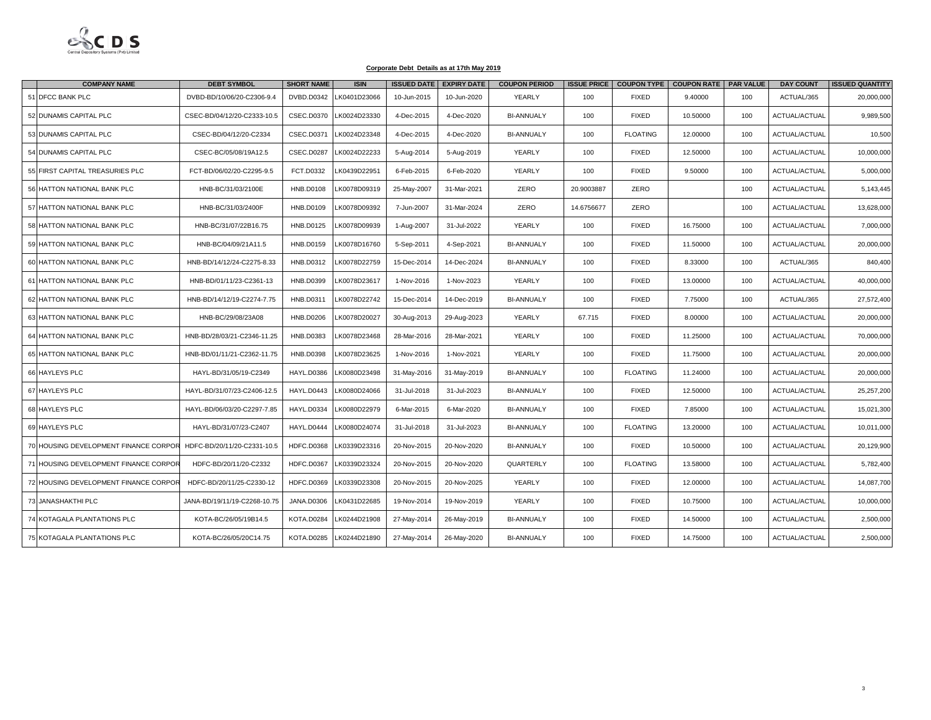

|    | <b>COMPANY NAME</b>                   | <b>DEBT SYMBOL</b>           | <b>SHORT NAME</b> | <b>ISIN</b>  | <b>ISSUED DATE</b> | <b>EXPIRY DATE</b> | <b>COUPON PERIOD</b> | <b>ISSUE PRICE</b> |                 | COUPON TYPE   COUPON RATE   PAR VALUE |     | <b>DAY COUNT</b> | <b>ISSUED QUANTITY</b> |
|----|---------------------------------------|------------------------------|-------------------|--------------|--------------------|--------------------|----------------------|--------------------|-----------------|---------------------------------------|-----|------------------|------------------------|
| 51 | <b>DFCC BANK PLC</b>                  | DVBD-BD/10/06/20-C2306-9.4   | DVBD.D0342        | LK0401D23066 | 10-Jun-2015        | 10-Jun-2020        | YEARLY               | 100                | <b>FIXED</b>    | 9.40000                               | 100 | ACTUAL/365       | 20,000,000             |
|    | 52 DUNAMIS CAPITAL PLC                | CSEC-BD/04/12/20-C2333-10.5  | <b>CSEC.D0370</b> | LK0024D23330 | 4-Dec-2015         | 4-Dec-2020         | <b>BI-ANNUALY</b>    | 100                | <b>FIXED</b>    | 10.50000                              | 100 | ACTUAL/ACTUAL    | 9,989,500              |
|    | 53 DUNAMIS CAPITAL PLC                | CSEC-BD/04/12/20-C2334       | CSEC.D0371        | LK0024D23348 | 4-Dec-2015         | 4-Dec-2020         | <b>BI-ANNUALY</b>    | 100                | <b>FLOATING</b> | 12.00000                              | 100 | ACTUAL/ACTUAL    | 10,500                 |
|    | 54 DUNAMIS CAPITAL PLC                | CSEC-BC/05/08/19A12.5        | <b>CSEC.D0287</b> | LK0024D22233 | 5-Aug-2014         | 5-Aug-2019         | YEARLY               | 100                | <b>FIXED</b>    | 12.50000                              | 100 | ACTUAL/ACTUAL    | 10,000,000             |
|    | 55 FIRST CAPITAL TREASURIES PLC       | FCT-BD/06/02/20-C2295-9.5    | FCT.D0332         | LK0439D22951 | 6-Feb-2015         | 6-Feb-2020         | YEARLY               | 100                | <b>FIXED</b>    | 9.50000                               | 100 | ACTUAL/ACTUAL    | 5,000,000              |
|    | 56 HATTON NATIONAL BANK PLC           | HNB-BC/31/03/2100E           | <b>HNB.D0108</b>  | LK0078D09319 | 25-May-2007        | 31-Mar-2021        | ZERO                 | 20.9003887         | ZERO            |                                       | 100 | ACTUAL/ACTUAL    | 5,143,445              |
|    | 57 HATTON NATIONAL BANK PLC           | HNB-BC/31/03/2400F           | <b>HNB.D0109</b>  | LK0078D09392 | 7-Jun-2007         | 31-Mar-2024        | ZERO                 | 14.6756677         | ZERO            |                                       | 100 | ACTUAL/ACTUAL    | 13,628,000             |
|    | 58 HATTON NATIONAL BANK PLC           | HNB-BC/31/07/22B16.75        | <b>HNB.D0125</b>  | LK0078D09939 | 1-Aug-2007         | 31-Jul-2022        | YEARLY               | 100                | <b>FIXED</b>    | 16.75000                              | 100 | ACTUAL/ACTUAL    | 7,000,000              |
|    | 59 HATTON NATIONAL BANK PLC           | HNB-BC/04/09/21A11.5         | <b>HNB.D0159</b>  | LK0078D16760 | 5-Sep-2011         | 4-Sep-2021         | <b>BI-ANNUALY</b>    | 100                | <b>FIXED</b>    | 11.50000                              | 100 | ACTUAL/ACTUAL    | 20,000,000             |
|    | 60 HATTON NATIONAL BANK PLC           | HNB-BD/14/12/24-C2275-8.33   | HNB.D0312         | LK0078D22759 | 15-Dec-2014        | 14-Dec-2024        | <b>BI-ANNUALY</b>    | 100                | <b>FIXED</b>    | 8.33000                               | 100 | ACTUAL/365       | 840,400                |
|    | 61 HATTON NATIONAL BANK PLC           | HNB-BD/01/11/23-C2361-13     | HNB.D0399         | LK0078D23617 | 1-Nov-2016         | 1-Nov-2023         | YEARLY               | 100                | <b>FIXED</b>    | 13.00000                              | 100 | ACTUAL/ACTUAL    | 40,000,000             |
|    | 62 HATTON NATIONAL BANK PLC           | HNB-BD/14/12/19-C2274-7.75   | <b>HNB.D0311</b>  | LK0078D22742 | 15-Dec-2014        | 14-Dec-2019        | <b>BI-ANNUALY</b>    | 100                | <b>FIXED</b>    | 7.75000                               | 100 | ACTUAL/365       | 27,572,400             |
|    | 63 HATTON NATIONAL BANK PLC           | HNB-BC/29/08/23A08           | <b>HNB.D0206</b>  | LK0078D20027 | 30-Aug-2013        | 29-Aug-2023        | YEARLY               | 67.715             | <b>FIXED</b>    | 8.00000                               | 100 | ACTUAL/ACTUAL    | 20,000,000             |
|    | 64 HATTON NATIONAL BANK PLC           | HNB-BD/28/03/21-C2346-11.25  | <b>HNB.D0383</b>  | LK0078D23468 | 28-Mar-2016        | 28-Mar-2021        | YEARLY               | 100                | <b>FIXED</b>    | 11.25000                              | 100 | ACTUAL/ACTUAL    | 70,000,000             |
|    | 65 HATTON NATIONAL BANK PLC           | HNB-BD/01/11/21-C2362-11.75  | <b>HNB.D0398</b>  | LK0078D23625 | 1-Nov-2016         | 1-Nov-2021         | YEARLY               | 100                | <b>FIXED</b>    | 11.75000                              | 100 | ACTUAL/ACTUAL    | 20,000,000             |
|    | 66 HAYLEYS PLC                        | HAYL-BD/31/05/19-C2349       | <b>HAYL.D0386</b> | LK0080D23498 | 31-May-2016        | 31-May-2019        | <b>BI-ANNUALY</b>    | 100                | <b>FLOATING</b> | 11.24000                              | 100 | ACTUAL/ACTUAL    | 20,000,000             |
|    | 67 HAYLEYS PLC                        | HAYL-BD/31/07/23-C2406-12.5  | HAYL.D0443        | LK0080D24066 | 31-Jul-2018        | 31-Jul-2023        | <b>BI-ANNUALY</b>    | 100                | <b>FIXED</b>    | 12.50000                              | 100 | ACTUAL/ACTUAL    | 25,257,200             |
|    | 68 HAYLEYS PLC                        | HAYL-BD/06/03/20-C2297-7.85  | <b>HAYL.D0334</b> | LK0080D22979 | 6-Mar-2015         | 6-Mar-2020         | <b>BI-ANNUALY</b>    | 100                | <b>FIXED</b>    | 7.85000                               | 100 | ACTUAL/ACTUAL    | 15,021,300             |
|    | 69 HAYLEYS PLC                        | HAYL-BD/31/07/23-C2407       | <b>HAYL.D0444</b> | LK0080D24074 | 31-Jul-2018        | 31-Jul-2023        | <b>BI-ANNUALY</b>    | 100                | <b>FLOATING</b> | 13.20000                              | 100 | ACTUAL/ACTUAL    | 10,011,000             |
|    | 70 HOUSING DEVELOPMENT FINANCE CORPOR | HDFC-BD/20/11/20-C2331-10.5  | <b>HDFC.D0368</b> | LK0339D23316 | 20-Nov-2015        | 20-Nov-2020        | <b>BI-ANNUALY</b>    | 100                | <b>FIXED</b>    | 10.50000                              | 100 | ACTUAL/ACTUAL    | 20,129,900             |
|    | 71 HOUSING DEVELOPMENT FINANCE CORPOR | HDFC-BD/20/11/20-C2332       | <b>HDFC.D0367</b> | LK0339D23324 | 20-Nov-2015        | 20-Nov-2020        | QUARTERLY            | 100                | <b>FLOATING</b> | 13.58000                              | 100 | ACTUAL/ACTUAL    | 5,782,400              |
|    | 72 HOUSING DEVELOPMENT FINANCE CORPOR | HDFC-BD/20/11/25-C2330-12    | <b>HDFC.D0369</b> | LK0339D23308 | 20-Nov-2015        | 20-Nov-2025        | YEARLY               | 100                | <b>FIXED</b>    | 12.00000                              | 100 | ACTUAL/ACTUAL    | 14,087,700             |
|    | 73 JANASHAKTHI PLC                    | JANA-BD/19/11/19-C2268-10.75 | <b>JANA.D0306</b> | LK0431D22685 | 19-Nov-2014        | 19-Nov-2019        | YEARLY               | 100                | <b>FIXED</b>    | 10.75000                              | 100 | ACTUAL/ACTUAL    | 10,000,000             |
| 74 | KOTAGALA PLANTATIONS PLC              | KOTA-BC/26/05/19B14.5        | <b>KOTA.D0284</b> | LK0244D21908 | 27-May-2014        | 26-May-2019        | <b>BI-ANNUALY</b>    | 100                | <b>FIXED</b>    | 14.50000                              | 100 | ACTUAL/ACTUAL    | 2,500,000              |
|    | 75 KOTAGALA PLANTATIONS PLC           | KOTA-BC/26/05/20C14.75       | <b>KOTA.D0285</b> | LK0244D21890 | 27-May-2014        | 26-May-2020        | <b>BI-ANNUALY</b>    | 100                | <b>FIXED</b>    | 14.75000                              | 100 | ACTUAL/ACTUAL    | 2,500,000              |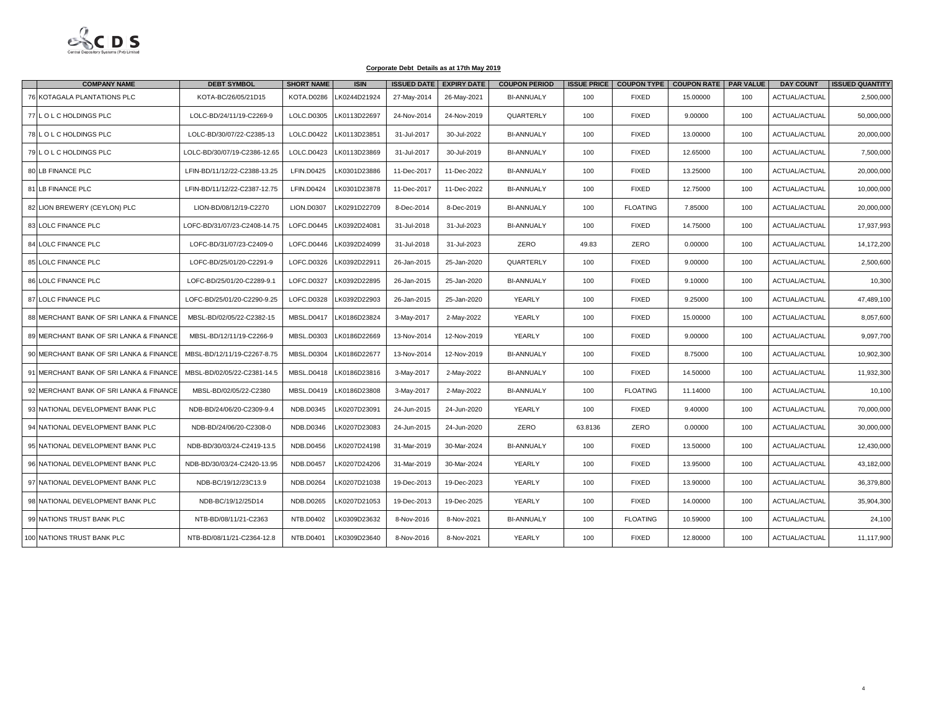

| <b>COMPANY NAME</b>                     | <b>DEBT SYMBOL</b>           | <b>SHORT NAME</b> | <b>ISIN</b>  |             | <b>ISSUED DATE EXPIRY DATE</b> | <b>COUPON PERIOD</b> | <b>ISSUE PRICE</b> |                 | COUPON TYPE   COUPON RATE   PAR VALUE |     | <b>DAY COUNT</b>     | <b>ISSUED QUANTITY</b> |
|-----------------------------------------|------------------------------|-------------------|--------------|-------------|--------------------------------|----------------------|--------------------|-----------------|---------------------------------------|-----|----------------------|------------------------|
| 76 KOTAGALA PLANTATIONS PLC             | KOTA-BC/26/05/21D15          | <b>KOTA.D0286</b> | LK0244D21924 | 27-May-2014 | 26-May-2021                    | <b>BI-ANNUALY</b>    | 100                | <b>FIXED</b>    | 15.00000                              | 100 | ACTUAL/ACTUAL        | 2,500,000              |
| 77 LOLCHOLDINGS PLC                     | LOLC-BD/24/11/19-C2269-9     | LOLC.D0305        | LK0113D22697 | 24-Nov-2014 | 24-Nov-2019                    | QUARTERLY            | 100                | <b>FIXED</b>    | 9.00000                               | 100 | ACTUAL/ACTUAL        | 50,000,000             |
| 78 LOLC HOLDINGS PLC                    | LOLC-BD/30/07/22-C2385-13    | LOLC.D0422        | LK0113D23851 | 31-Jul-2017 | 30-Jul-2022                    | <b>BI-ANNUALY</b>    | 100                | <b>FIXED</b>    | 13.00000                              | 100 | ACTUAL/ACTUAL        | 20,000,000             |
| 79 L O L C HOLDINGS PLC                 | LOLC-BD/30/07/19-C2386-12.65 | LOLC.D0423        | LK0113D23869 | 31-Jul-2017 | 30-Jul-2019                    | <b>BI-ANNUALY</b>    | 100                | <b>FIXED</b>    | 12.65000                              | 100 | ACTUAL/ACTUAL        | 7,500,000              |
| 80 LB FINANCE PLC                       | LFIN-BD/11/12/22-C2388-13.25 | <b>LFIN.D0425</b> | LK0301D23886 | 11-Dec-2017 | 11-Dec-2022                    | <b>BI-ANNUALY</b>    | 100                | <b>FIXED</b>    | 13.25000                              | 100 | <b>ACTUAL/ACTUAL</b> | 20,000,000             |
| 81 LB FINANCE PLC                       | LFIN-BD/11/12/22-C2387-12.75 | LFIN.D0424        | LK0301D23878 | 11-Dec-2017 | 11-Dec-2022                    | <b>BI-ANNUALY</b>    | 100                | <b>FIXED</b>    | 12.75000                              | 100 | <b>ACTUAL/ACTUAL</b> | 10,000,000             |
| 82 LION BREWERY (CEYLON) PLC            | LION-BD/08/12/19-C2270       | <b>LION.D0307</b> | K0291D22709  | 8-Dec-2014  | 8-Dec-2019                     | <b>BI-ANNUALY</b>    | 100                | <b>FLOATING</b> | 7.85000                               | 100 | <b>ACTUAL/ACTUAL</b> | 20,000,000             |
| 83 LOLC FINANCE PLC                     | LOFC-BD/31/07/23-C2408-14.75 | LOFC.D0445        | LK0392D24081 | 31-Jul-2018 | 31-Jul-2023                    | <b>BI-ANNUALY</b>    | 100                | <b>FIXED</b>    | 14.75000                              | 100 | ACTUAL/ACTUAL        | 17,937,993             |
| 84 LOLC FINANCE PLC                     | LOFC-BD/31/07/23-C2409-0     | LOFC.D0446        | LK0392D24099 | 31-Jul-2018 | 31-Jul-2023                    | ZERO                 | 49.83              | <b>ZERO</b>     | 0.00000                               | 100 | ACTUAL/ACTUAL        | 14,172,200             |
| 85 LOLC FINANCE PLC                     | LOFC-BD/25/01/20-C2291-9     | LOFC.D0326        | LK0392D22911 | 26-Jan-2015 | 25-Jan-2020                    | QUARTERLY            | 100                | <b>FIXED</b>    | 9.00000                               | 100 | ACTUAL/ACTUAL        | 2,500,600              |
| 86 LOLC FINANCE PLC                     | LOFC-BD/25/01/20-C2289-9.1   | LOFC.D0327        | LK0392D22895 | 26-Jan-2015 | 25-Jan-2020                    | <b>BI-ANNUALY</b>    | 100                | <b>FIXED</b>    | 9.10000                               | 100 | ACTUAL/ACTUAL        | 10,300                 |
| 87 LOLC FINANCE PLC                     | LOFC-BD/25/01/20-C2290-9.25  | LOFC.D0328        | LK0392D22903 | 26-Jan-2015 | 25-Jan-2020                    | YEARLY               | 100                | <b>FIXED</b>    | 9.25000                               | 100 | ACTUAL/ACTUAL        | 47,489,100             |
| 88 MERCHANT BANK OF SRI LANKA & FINANCE | MBSL-BD/02/05/22-C2382-15    | <b>MBSL.D0417</b> | LK0186D23824 | 3-May-2017  | 2-May-2022                     | YEARLY               | 100                | <b>FIXED</b>    | 15.00000                              | 100 | ACTUAL/ACTUAL        | 8,057,600              |
| 89 MERCHANT BANK OF SRI LANKA & FINANCE | MBSL-BD/12/11/19-C2266-9     | <b>MBSL.D0303</b> | LK0186D22669 | 13-Nov-2014 | 12-Nov-2019                    | YEARLY               | 100                | <b>FIXED</b>    | 9.00000                               | 100 | ACTUAL/ACTUAL        | 9,097,700              |
| 90 MERCHANT BANK OF SRI LANKA & FINANCE | MBSL-BD/12/11/19-C2267-8.75  | <b>MBSL.D0304</b> | LK0186D22677 | 13-Nov-2014 | 12-Nov-2019                    | <b>BI-ANNUALY</b>    | 100                | <b>FIXED</b>    | 8.75000                               | 100 | ACTUAL/ACTUAL        | 10,902,300             |
| 91 MERCHANT BANK OF SRI LANKA & FINANCE | MBSL-BD/02/05/22-C2381-14.5  | <b>MBSL.D0418</b> | LK0186D23816 | 3-May-2017  | 2-May-2022                     | <b>BI-ANNUALY</b>    | 100                | <b>FIXED</b>    | 14.50000                              | 100 | ACTUAL/ACTUAL        | 11,932,300             |
| 92 MERCHANT BANK OF SRI LANKA & FINANCE | MBSL-BD/02/05/22-C2380       | <b>MBSL.D0419</b> | LK0186D23808 | 3-May-2017  | 2-May-2022                     | <b>BI-ANNUALY</b>    | 100                | <b>FLOATING</b> | 11.14000                              | 100 | ACTUAL/ACTUAL        | 10,100                 |
| 93 NATIONAL DEVELOPMENT BANK PLC        | NDB-BD/24/06/20-C2309-9.4    | NDB.D0345         | K0207D23091  | 24-Jun-2015 | 24-Jun-2020                    | YEARLY               | 100                | <b>FIXED</b>    | 9.40000                               | 100 | ACTUAL/ACTUAL        | 70,000,000             |
| 94 NATIONAL DEVELOPMENT BANK PLC        | NDB-BD/24/06/20-C2308-0      | NDB.D0346         | LK0207D23083 | 24-Jun-2015 | 24-Jun-2020                    | ZERO                 | 63.8136            | <b>ZERO</b>     | 0.00000                               | 100 | <b>ACTUAL/ACTUAL</b> | 30,000,000             |
| 95 NATIONAL DEVELOPMENT BANK PLC        | NDB-BD/30/03/24-C2419-13.5   | <b>NDB.D0456</b>  | LK0207D24198 | 31-Mar-2019 | 30-Mar-2024                    | <b>BI-ANNUALY</b>    | 100                | <b>FIXED</b>    | 13.50000                              | 100 | ACTUAL/ACTUAL        | 12,430,000             |
| 96 NATIONAL DEVELOPMENT BANK PLC        | NDB-BD/30/03/24-C2420-13.95  | <b>NDB.D0457</b>  | LK0207D24206 | 31-Mar-2019 | 30-Mar-2024                    | YEARLY               | 100                | <b>FIXED</b>    | 13.95000                              | 100 | ACTUAL/ACTUAL        | 43,182,000             |
| 97 NATIONAL DEVELOPMENT BANK PLC        | NDB-BC/19/12/23C13.9         | <b>NDB.D0264</b>  | LK0207D21038 | 19-Dec-2013 | 19-Dec-2023                    | YEARLY               | 100                | <b>FIXED</b>    | 13.90000                              | 100 | ACTUAL/ACTUAL        | 36,379,800             |
| 98 NATIONAL DEVELOPMENT BANK PLC        | NDB-BC/19/12/25D14           | <b>NDB.D0265</b>  | LK0207D21053 | 19-Dec-2013 | 19-Dec-2025                    | YEARLY               | 100                | <b>FIXED</b>    | 14.00000                              | 100 | ACTUAL/ACTUAL        | 35,904,300             |
| 99 NATIONS TRUST BANK PLC               | NTB-BD/08/11/21-C2363        | NTB.D0402         | LK0309D23632 | 8-Nov-2016  | 8-Nov-2021                     | <b>BI-ANNUALY</b>    | 100                | <b>FLOATING</b> | 10.59000                              | 100 | ACTUAL/ACTUAL        | 24,100                 |
| 100 NATIONS TRUST BANK PLC              | NTB-BD/08/11/21-C2364-12.8   | <b>NTB.D0401</b>  | LK0309D23640 | 8-Nov-2016  | 8-Nov-2021                     | YEARLY               | 100                | <b>FIXED</b>    | 12.80000                              | 100 | ACTUAL/ACTUAL        | 11,117,900             |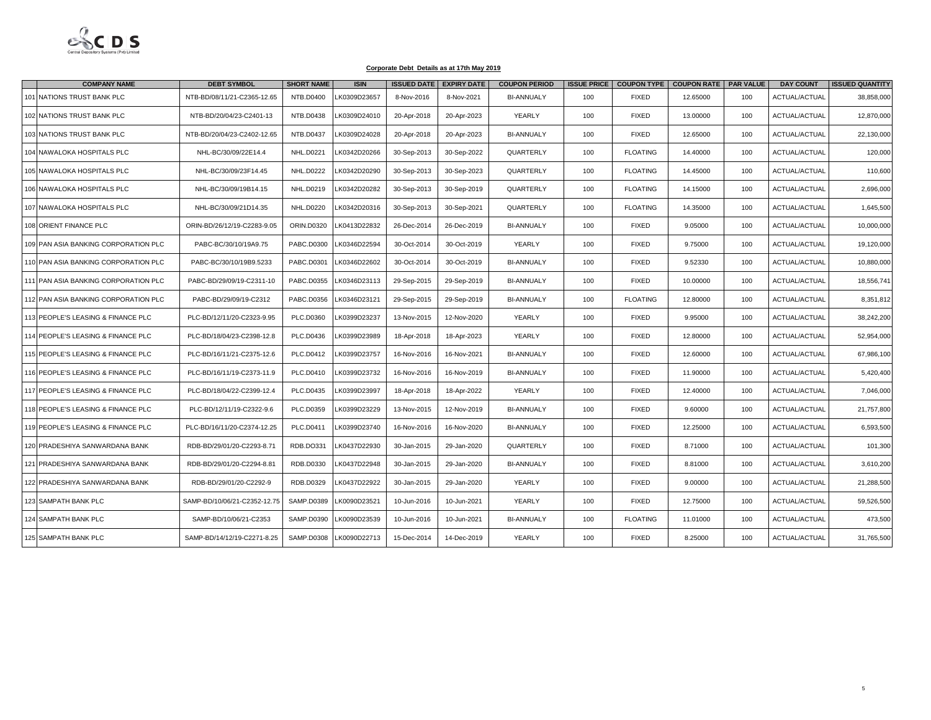

| <b>COMPANY NAME</b>                  | <b>DEBT SYMBOL</b>           | <b>SHORT NAME</b> | <b>ISIN</b>  | <b>ISSUED DATE</b> | <b>EXPIRY DATE</b> | <b>COUPON PERIOD</b> |     | <b>ISSUE PRICE   COUPON TYPE  </b> | <b>COUPON RATE   PAR VALUE</b> |     | <b>DAY COUNT</b>     | <b>ISSUED QUANTITY</b> |
|--------------------------------------|------------------------------|-------------------|--------------|--------------------|--------------------|----------------------|-----|------------------------------------|--------------------------------|-----|----------------------|------------------------|
| 101 NATIONS TRUST BANK PLC           | NTB-BD/08/11/21-C2365-12.65  | NTB.D0400         | LK0309D23657 | 8-Nov-2016         | 8-Nov-2021         | <b>BI-ANNUALY</b>    | 100 | <b>FIXED</b>                       | 12.65000                       | 100 | ACTUAL/ACTUAL        | 38,858,000             |
| 102 NATIONS TRUST BANK PLC           | NTB-BD/20/04/23-C2401-13     | NTB.D0438         | LK0309D24010 | 20-Apr-2018        | 20-Apr-2023        | YEARLY               | 100 | <b>FIXED</b>                       | 13.00000                       | 100 | <b>ACTUAL/ACTUAL</b> | 12,870,000             |
| 103 NATIONS TRUST BANK PLC           | NTB-BD/20/04/23-C2402-12.65  | <b>NTB.D0437</b>  | LK0309D24028 | 20-Apr-2018        | 20-Apr-2023        | <b>BI-ANNUALY</b>    | 100 | <b>FIXED</b>                       | 12.65000                       | 100 | ACTUAL/ACTUAL        | 22,130,000             |
| 104 NAWALOKA HOSPITALS PLC           | NHL-BC/30/09/22E14.4         | <b>NHL.D0221</b>  | LK0342D20266 | 30-Sep-2013        | 30-Sep-2022        | QUARTERLY            | 100 | <b>FLOATING</b>                    | 14.40000                       | 100 | ACTUAL/ACTUAL        | 120,000                |
| 105 NAWALOKA HOSPITALS PLC           | NHL-BC/30/09/23F14.45        | <b>NHL.D0222</b>  | LK0342D20290 | 30-Sep-2013        | 30-Sep-2023        | QUARTERLY            | 100 | <b>FLOATING</b>                    | 14.45000                       | 100 | ACTUAL/ACTUAL        | 110,600                |
| 106 NAWALOKA HOSPITALS PLC           | NHL-BC/30/09/19B14.15        | <b>NHL.D0219</b>  | LK0342D20282 | 30-Sep-2013        | 30-Sep-2019        | QUARTERLY            | 100 | <b>FLOATING</b>                    | 14.15000                       | 100 | ACTUAL/ACTUAL        | 2,696,000              |
| 107 NAWALOKA HOSPITALS PLC           | NHL-BC/30/09/21D14.35        | <b>NHL.D0220</b>  | K0342D20316  | 30-Sep-2013        | 30-Sep-2021        | QUARTERLY            | 100 | <b>FLOATING</b>                    | 14.35000                       | 100 | ACTUAL/ACTUAL        | 1,645,500              |
| 108 ORIENT FINANCE PLC               | ORIN-BD/26/12/19-C2283-9.05  | ORIN.D0320        | LK0413D22832 | 26-Dec-2014        | 26-Dec-2019        | <b>BI-ANNUALY</b>    | 100 | <b>FIXED</b>                       | 9.05000                        | 100 | ACTUAL/ACTUAL        | 10,000,000             |
| 109 PAN ASIA BANKING CORPORATION PLC | PABC-BC/30/10/19A9.75        | PABC.D0300        | LK0346D22594 | 30-Oct-2014        | 30-Oct-2019        | YEARLY               | 100 | <b>FIXED</b>                       | 9.75000                        | 100 | <b>ACTUAL/ACTUAL</b> | 19,120,000             |
| 110 PAN ASIA BANKING CORPORATION PLC | PABC-BC/30/10/19B9.5233      | PABC.D0301        | LK0346D22602 | 30-Oct-2014        | 30-Oct-2019        | <b>BI-ANNUALY</b>    | 100 | <b>FIXED</b>                       | 9.52330                        | 100 | ACTUAL/ACTUAL        | 10,880,000             |
| 111 PAN ASIA BANKING CORPORATION PLC | PABC-BD/29/09/19-C2311-10    | PABC.D0355        | LK0346D23113 | 29-Sep-2015        | 29-Sep-2019        | <b>BI-ANNUALY</b>    | 100 | <b>FIXED</b>                       | 10.00000                       | 100 | ACTUAL/ACTUAL        | 18,556,741             |
| 112 PAN ASIA BANKING CORPORATION PLC | PABC-BD/29/09/19-C2312       | PABC.D0356        | LK0346D23121 | 29-Sep-2015        | 29-Sep-2019        | <b>BI-ANNUALY</b>    | 100 | <b>FLOATING</b>                    | 12.80000                       | 100 | ACTUAL/ACTUAL        | 8,351,812              |
| 113 PEOPLE'S LEASING & FINANCE PLC   | PLC-BD/12/11/20-C2323-9.95   | PLC.D0360         | LK0399D23237 | 13-Nov-2015        | 12-Nov-2020        | YEARLY               | 100 | <b>FIXED</b>                       | 9.95000                        | 100 | ACTUAL/ACTUAL        | 38,242,200             |
| 114 PEOPLE'S LEASING & FINANCE PLC   | PLC-BD/18/04/23-C2398-12.8   | PLC.D0436         | LK0399D23989 | 18-Apr-2018        | 18-Apr-2023        | YEARLY               | 100 | <b>FIXED</b>                       | 12.80000                       | 100 | <b>ACTUAL/ACTUAL</b> | 52,954,000             |
| 115 PEOPLE'S LEASING & FINANCE PLC   | PLC-BD/16/11/21-C2375-12.6   | PLC.D0412         | K0399D23757  | 16-Nov-2016        | 16-Nov-2021        | <b>BI-ANNUALY</b>    | 100 | <b>FIXED</b>                       | 12.60000                       | 100 | ACTUAL/ACTUAL        | 67,986,100             |
| 116 PEOPLE'S LEASING & FINANCE PLC   | PLC-BD/16/11/19-C2373-11.9   | PLC.D0410         | LK0399D23732 | 16-Nov-2016        | 16-Nov-2019        | <b>BI-ANNUALY</b>    | 100 | <b>FIXED</b>                       | 11.90000                       | 100 | <b>ACTUAL/ACTUAL</b> | 5,420,400              |
| 117 PEOPLE'S LEASING & FINANCE PLC   | PLC-BD/18/04/22-C2399-12.4   | PLC.D0435         | LK0399D23997 | 18-Apr-2018        | 18-Apr-2022        | YEARLY               | 100 | <b>FIXED</b>                       | 12.40000                       | 100 | ACTUAL/ACTUAL        | 7,046,000              |
| 118 PEOPLE'S LEASING & FINANCE PLC   | PLC-BD/12/11/19-C2322-9.6    | PLC.D0359         | LK0399D23229 | 13-Nov-2015        | 12-Nov-2019        | <b>BI-ANNUALY</b>    | 100 | <b>FIXED</b>                       | 9.60000                        | 100 | ACTUAL/ACTUAL        | 21,757,800             |
| 119 PEOPLE'S LEASING & FINANCE PLC   | PLC-BD/16/11/20-C2374-12.25  | PLC.D0411         | LK0399D23740 | 16-Nov-2016        | 16-Nov-2020        | <b>BI-ANNUALY</b>    | 100 | <b>FIXED</b>                       | 12.25000                       | 100 | <b>ACTUAL/ACTUAL</b> | 6,593,500              |
| 120 PRADESHIYA SANWARDANA BANK       | RDB-BD/29/01/20-C2293-8.71   | RDB.DO331         | LK0437D22930 | 30-Jan-2015        | 29-Jan-2020        | QUARTERLY            | 100 | <b>FIXED</b>                       | 8.71000                        | 100 | ACTUAL/ACTUAL        | 101,300                |
| 121 PRADESHIYA SANWARDANA BANK       | RDB-BD/29/01/20-C2294-8.81   | RDB.D0330         | LK0437D22948 | 30-Jan-2015        | 29-Jan-2020        | <b>BI-ANNUALY</b>    | 100 | <b>FIXED</b>                       | 8.81000                        | 100 | <b>ACTUAL/ACTUAL</b> | 3,610,200              |
| 122 PRADESHIYA SANWARDANA BANK       | RDB-BD/29/01/20-C2292-9      | RDB.D0329         | LK0437D22922 | 30-Jan-2015        | 29-Jan-2020        | YEARLY               | 100 | <b>FIXED</b>                       | 9.00000                        | 100 | <b>ACTUAL/ACTUAL</b> | 21,288,500             |
| 123 SAMPATH BANK PLC                 | SAMP-BD/10/06/21-C2352-12.75 | <b>SAMP.D0389</b> | LK0090D23521 | 10-Jun-2016        | 10-Jun-2021        | YEARLY               | 100 | <b>FIXED</b>                       | 12.75000                       | 100 | <b>ACTUAL/ACTUAL</b> | 59,526,500             |
| <b>124 SAMPATH BANK PLC</b>          | SAMP-BD/10/06/21-C2353       | <b>SAMP.D0390</b> | LK0090D23539 | 10-Jun-2016        | 10-Jun-2021        | <b>BI-ANNUALY</b>    | 100 | <b>FLOATING</b>                    | 11.01000                       | 100 | <b>ACTUAL/ACTUAL</b> | 473,500                |
| 125 SAMPATH BANK PLC                 | SAMP-BD/14/12/19-C2271-8.25  | SAMP.D0308        | LK0090D22713 | 15-Dec-2014        | 14-Dec-2019        | YEARLY               | 100 | <b>FIXED</b>                       | 8.25000                        | 100 | <b>ACTUAL/ACTUAL</b> | 31,765,500             |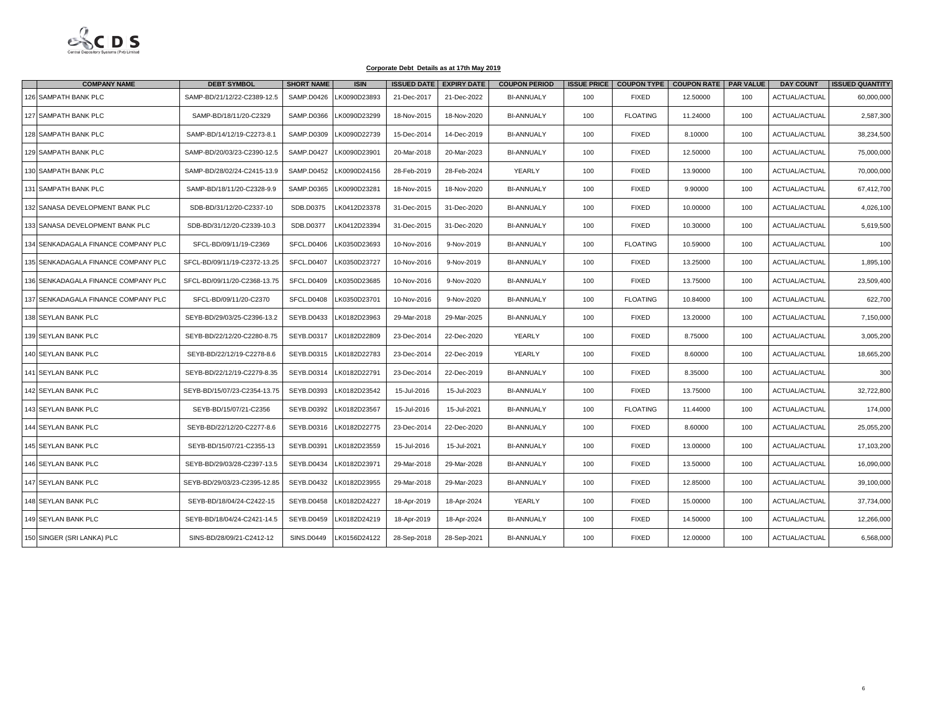

| <b>COMPANY NAME</b>                 | <b>DEBT SYMBOL</b>           | <b>SHORT NAME</b> | <b>ISIN</b>  | <b>ISSUED DATE</b> | <b>EXPIRY DATE</b> | <b>COUPON PERIOD</b> |     |                 | ISSUE PRICE   COUPON TYPE   COUPON RATE   PAR VALUE |     | <b>DAY COUNT</b> | <b>ISSUED QUANTITY</b> |
|-------------------------------------|------------------------------|-------------------|--------------|--------------------|--------------------|----------------------|-----|-----------------|-----------------------------------------------------|-----|------------------|------------------------|
| 126 SAMPATH BANK PLC                | SAMP-BD/21/12/22-C2389-12.5  | SAMP.D0426        | LK0090D23893 | 21-Dec-2017        | 21-Dec-2022        | <b>BI-ANNUALY</b>    | 100 | <b>FIXED</b>    | 12.50000                                            | 100 | ACTUAL/ACTUAL    | 60,000,000             |
| 127 SAMPATH BANK PLC                | SAMP-BD/18/11/20-C2329       | SAMP.D0366        | LK0090D23299 | 18-Nov-2015        | 18-Nov-2020        | <b>BI-ANNUALY</b>    | 100 | <b>FLOATING</b> | 11.24000                                            | 100 | ACTUAL/ACTUAL    | 2,587,300              |
| 128 SAMPATH BANK PLC                | SAMP-BD/14/12/19-C2273-8.1   | SAMP.D0309        | LK0090D22739 | 15-Dec-2014        | 14-Dec-2019        | <b>BI-ANNUALY</b>    | 100 | <b>FIXED</b>    | 8.10000                                             | 100 | ACTUAL/ACTUAL    | 38,234,500             |
| 129 SAMPATH BANK PLC                | SAMP-BD/20/03/23-C2390-12.5  | SAMP.D0427        | LK0090D23901 | 20-Mar-2018        | 20-Mar-2023        | <b>BI-ANNUALY</b>    | 100 | <b>FIXED</b>    | 12.50000                                            | 100 | ACTUAL/ACTUAL    | 75,000,000             |
| 130 SAMPATH BANK PLC                | SAMP-BD/28/02/24-C2415-13.9  | <b>SAMP.D0452</b> | LK0090D24156 | 28-Feb-2019        | 28-Feb-2024        | YEARLY               | 100 | <b>FIXED</b>    | 13.90000                                            | 100 | ACTUAL/ACTUAL    | 70,000,000             |
| 131 SAMPATH BANK PLC                | SAMP-BD/18/11/20-C2328-9.9   | SAMP.D0365        | LK0090D23281 | 18-Nov-2015        | 18-Nov-2020        | <b>BI-ANNUALY</b>    | 100 | <b>FIXED</b>    | 9.90000                                             | 100 | ACTUAL/ACTUAL    | 67,412,700             |
| 132 SANASA DEVELOPMENT BANK PLC     | SDB-BD/31/12/20-C2337-10     | SDB.D0375         | LK0412D23378 | 31-Dec-2015        | 31-Dec-2020        | <b>BI-ANNUALY</b>    | 100 | <b>FIXED</b>    | 10.00000                                            | 100 | ACTUAL/ACTUAL    | 4,026,100              |
| 133 SANASA DEVELOPMENT BANK PLC     | SDB-BD/31/12/20-C2339-10.3   | SDB.D0377         | LK0412D23394 | 31-Dec-2015        | 31-Dec-2020        | <b>BI-ANNUALY</b>    | 100 | <b>FIXED</b>    | 10.30000                                            | 100 | ACTUAL/ACTUAL    | 5,619,500              |
| 134 SENKADAGALA FINANCE COMPANY PLC | SFCL-BD/09/11/19-C2369       | SFCL.D0406        | LK0350D23693 | 10-Nov-2016        | 9-Nov-2019         | <b>BI-ANNUALY</b>    | 100 | <b>FLOATING</b> | 10.59000                                            | 100 | ACTUAL/ACTUAL    | 100                    |
| 135 SENKADAGALA FINANCE COMPANY PLC | SFCL-BD/09/11/19-C2372-13.25 | SFCL.D0407        | LK0350D23727 | 10-Nov-2016        | 9-Nov-2019         | <b>BI-ANNUALY</b>    | 100 | <b>FIXED</b>    | 13.25000                                            | 100 | ACTUAL/ACTUAL    | 1,895,100              |
| 136 SENKADAGALA FINANCE COMPANY PLC | SFCL-BD/09/11/20-C2368-13.75 | SFCL.D0409        | LK0350D23685 | 10-Nov-2016        | 9-Nov-2020         | <b>BI-ANNUALY</b>    | 100 | <b>FIXED</b>    | 13.75000                                            | 100 | ACTUAL/ACTUAL    | 23,509,400             |
| 137 SENKADAGALA FINANCE COMPANY PLC | SFCL-BD/09/11/20-C2370       | SFCL.D0408        | LK0350D23701 | 10-Nov-2016        | 9-Nov-2020         | <b>BI-ANNUALY</b>    | 100 | <b>FLOATING</b> | 10.84000                                            | 100 | ACTUAL/ACTUAL    | 622,700                |
| 138 SEYLAN BANK PLC                 | SEYB-BD/29/03/25-C2396-13.2  | <b>SEYB.D0433</b> | LK0182D23963 | 29-Mar-2018        | 29-Mar-2025        | <b>BI-ANNUALY</b>    | 100 | <b>FIXED</b>    | 13,20000                                            | 100 | ACTUAL/ACTUAL    | 7,150,000              |
| 139 SEYLAN BANK PLC                 | SEYB-BD/22/12/20-C2280-8.75  | <b>SEYB.D0317</b> | LK0182D22809 | 23-Dec-2014        | 22-Dec-2020        | YEARLY               | 100 | <b>FIXED</b>    | 8.75000                                             | 100 | ACTUAL/ACTUAL    | 3,005,200              |
| 140 SEYLAN BANK PLC                 | SEYB-BD/22/12/19-C2278-8.6   | SEYB.D0315        | LK0182D22783 | 23-Dec-2014        | 22-Dec-2019        | <b>YEARLY</b>        | 100 | <b>FIXED</b>    | 8.60000                                             | 100 | ACTUAL/ACTUAL    | 18,665,200             |
| 141 SEYLAN BANK PLC                 | SEYB-BD/22/12/19-C2279-8.35  | <b>SEYB.D0314</b> | LK0182D22791 | 23-Dec-2014        | 22-Dec-2019        | <b>BI-ANNUALY</b>    | 100 | <b>FIXED</b>    | 8.35000                                             | 100 | ACTUAL/ACTUAL    | 300                    |
| 142 SEYLAN BANK PLC                 | SEYB-BD/15/07/23-C2354-13.75 | SEYB.D0393        | LK0182D23542 | 15-Jul-2016        | 15-Jul-2023        | <b>BI-ANNUALY</b>    | 100 | <b>FIXED</b>    | 13.75000                                            | 100 | ACTUAL/ACTUAL    | 32,722,800             |
| 143 SEYLAN BANK PLC                 | SEYB-BD/15/07/21-C2356       | SEYB.D0392        | LK0182D23567 | 15-Jul-2016        | 15-Jul-2021        | <b>BI-ANNUALY</b>    | 100 | <b>FLOATING</b> | 11.44000                                            | 100 | ACTUAL/ACTUAL    | 174,000                |
| 144 SEYLAN BANK PLC                 | SEYB-BD/22/12/20-C2277-8.6   | SEYB.D0316        | LK0182D22775 | 23-Dec-2014        | 22-Dec-2020        | <b>BI-ANNUALY</b>    | 100 | <b>FIXED</b>    | 8.60000                                             | 100 | ACTUAL/ACTUAL    | 25,055,200             |
| 145 SEYLAN BANK PLC                 | SEYB-BD/15/07/21-C2355-13    | SEYB.D0391        | LK0182D23559 | 15-Jul-2016        | 15-Jul-2021        | <b>BI-ANNUALY</b>    | 100 | <b>FIXED</b>    | 13.00000                                            | 100 | ACTUAL/ACTUAL    | 17,103,200             |
| 146 SEYLAN BANK PLC                 | SEYB-BD/29/03/28-C2397-13.5  | <b>SEYB.D0434</b> | LK0182D23971 | 29-Mar-2018        | 29-Mar-2028        | <b>BI-ANNUALY</b>    | 100 | <b>FIXED</b>    | 13,50000                                            | 100 | ACTUAL/ACTUAL    | 16,090,000             |
| 147 SEYLAN BANK PLC                 | SEYB-BD/29/03/23-C2395-12.85 | <b>SEYB.D0432</b> | LK0182D23955 | 29-Mar-2018        | 29-Mar-2023        | <b>BI-ANNUALY</b>    | 100 | <b>FIXED</b>    | 12.85000                                            | 100 | ACTUAL/ACTUAL    | 39,100,000             |
| 148 SEYLAN BANK PLC                 | SEYB-BD/18/04/24-C2422-15    | <b>SEYB.D0458</b> | LK0182D24227 | 18-Apr-2019        | 18-Apr-2024        | YEARLY               | 100 | <b>FIXED</b>    | 15.00000                                            | 100 | ACTUAL/ACTUAL    | 37,734,000             |
| 149 SEYLAN BANK PLC                 | SEYB-BD/18/04/24-C2421-14.5  | <b>SEYB.D0459</b> | LK0182D24219 | 18-Apr-2019        | 18-Apr-2024        | <b>BI-ANNUALY</b>    | 100 | <b>FIXED</b>    | 14.50000                                            | 100 | ACTUAL/ACTUAL    | 12,266,000             |
| 150 SINGER (SRI LANKA) PLC          | SINS-BD/28/09/21-C2412-12    | <b>SINS.D0449</b> | LK0156D24122 | 28-Sep-2018        | 28-Sep-2021        | <b>BI-ANNUALY</b>    | 100 | <b>FIXED</b>    | 12.00000                                            | 100 | ACTUAL/ACTUAL    | 6,568,000              |